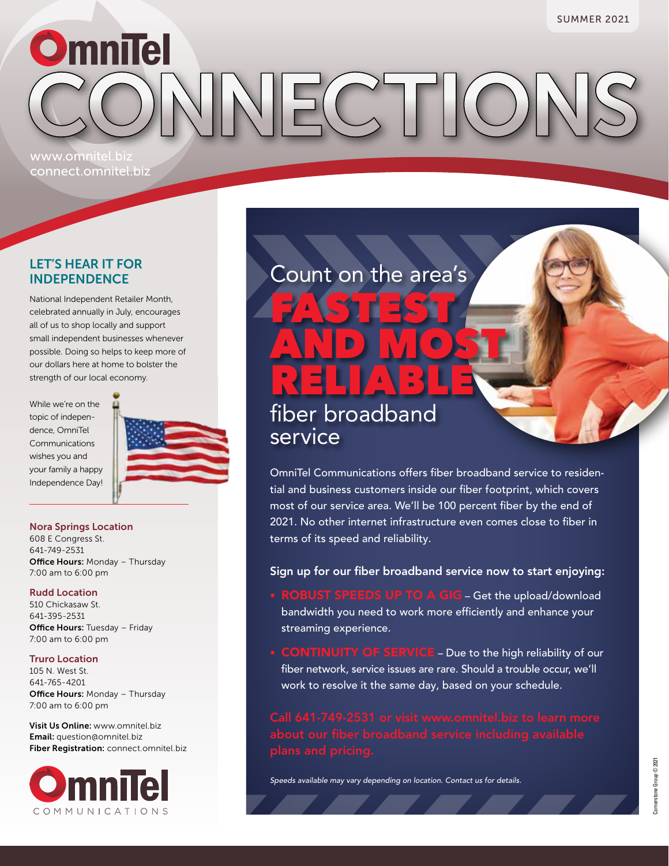**OmniTel**  $HC$ www.omnitel.biz

### LET'S HEAR IT FOR INDEPENDENCE

connect.omnitel.biz

National Independent Retailer Month, celebrated annually in July, encourages all of us to shop locally and support small independent businesses whenever possible. Doing so helps to keep more of our dollars here at home to bolster the strength of our local economy.

While we're on the topic of independence, OmniTel Communications wishes you and your family a happy Independence Day!



### Nora Springs Location

608 E Congress St. 641-749-2531 **Office Hours: Monday - Thursday** 7:00 am to 6:00 pm

### Rudd Location

510 Chickasaw St. 641-395-2531 **Office Hours: Tuesday - Friday** 7:00 am to 6:00 pm

### Truro Location

105 N. West St. 641-765-4201 **Office Hours: Monday - Thursday** 7:00 am to 6:00 pm

Visit Us Online: www.omnitel.biz Email: question@omnitel.biz Fiber Registration: connect.omnitel.biz



### Count on the area's

FASTEST

AND MOST

### RELIABLE fiber broadband service

OmniTel Communications offers fiber broadband service to residential and business customers inside our fiber footprint, which covers most of our service area. We'll be 100 percent fiber by the end of 2021. No other internet infrastructure even comes close to fiber in terms of its speed and reliability.

### Sign up for our fiber broadband service now to start enjoying:

- ROBUST SPEEDS UP TO A GIG Get the upload/download bandwidth you need to work more efficiently and enhance your streaming experience.
- CONTINUITY OF SERVICE Due to the high reliability of our fiber network, service issues are rare. Should a trouble occur, we'll work to resolve it the same day, based on your schedule.

*Speeds available may vary depending on location. Contact us for details.*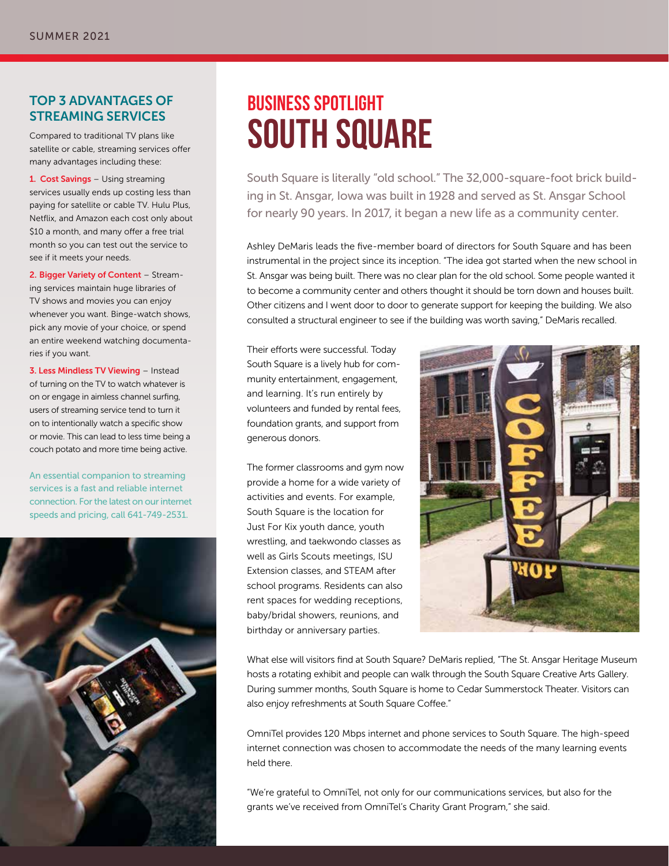### TOP 3 ADVANTAGES OF STREAMING SERVICES

Compared to traditional TV plans like satellite or cable, streaming services offer many advantages including these:

1. Cost Savings – Using streaming services usually ends up costing less than paying for satellite or cable TV. Hulu Plus, Netflix, and Amazon each cost only about \$10 a month, and many offer a free trial month so you can test out the service to see if it meets your needs.

2. Bigger Variety of Content – Streaming services maintain huge libraries of TV shows and movies you can enjoy whenever you want. Binge-watch shows, pick any movie of your choice, or spend an entire weekend watching documentaries if you want.

3. Less Mindless TV Viewing – Instead of turning on the TV to watch whatever is on or engage in aimless channel surfing, users of streaming service tend to turn it on to intentionally watch a specific show or movie. This can lead to less time being a couch potato and more time being active.

An essential companion to streaming services is a fast and reliable internet connection. For the latest on our internet speeds and pricing, call 641-749-2531.



### **BUSINESS SPOTLIGHT SOUTH SQUARE**

South Square is literally "old school." The 32,000-square-foot brick building in St. Ansgar, Iowa was built in 1928 and served as St. Ansgar School for nearly 90 years. In 2017, it began a new life as a community center.

Ashley DeMaris leads the five-member board of directors for South Square and has been instrumental in the project since its inception. "The idea got started when the new school in St. Ansgar was being built. There was no clear plan for the old school. Some people wanted it to become a community center and others thought it should be torn down and houses built. Other citizens and I went door to door to generate support for keeping the building. We also consulted a structural engineer to see if the building was worth saving," DeMaris recalled.

Their efforts were successful. Today South Square is a lively hub for community entertainment, engagement, and learning. It's run entirely by volunteers and funded by rental fees, foundation grants, and support from generous donors.

The former classrooms and gym now provide a home for a wide variety of activities and events. For example, South Square is the location for Just For Kix youth dance, youth wrestling, and taekwondo classes as well as Girls Scouts meetings, ISU Extension classes, and STEAM after school programs. Residents can also rent spaces for wedding receptions, baby/bridal showers, reunions, and birthday or anniversary parties.



What else will visitors find at South Square? DeMaris replied, "The St. Ansgar Heritage Museum hosts a rotating exhibit and people can walk through the South Square Creative Arts Gallery. During summer months, South Square is home to Cedar Summerstock Theater. Visitors can also enjoy refreshments at South Square Coffee."

OmniTel provides 120 Mbps internet and phone services to South Square. The high-speed internet connection was chosen to accommodate the needs of the many learning events held there.

"We're grateful to OmniTel, not only for our communications services, but also for the grants we've received from OmniTel's Charity Grant Program," she said.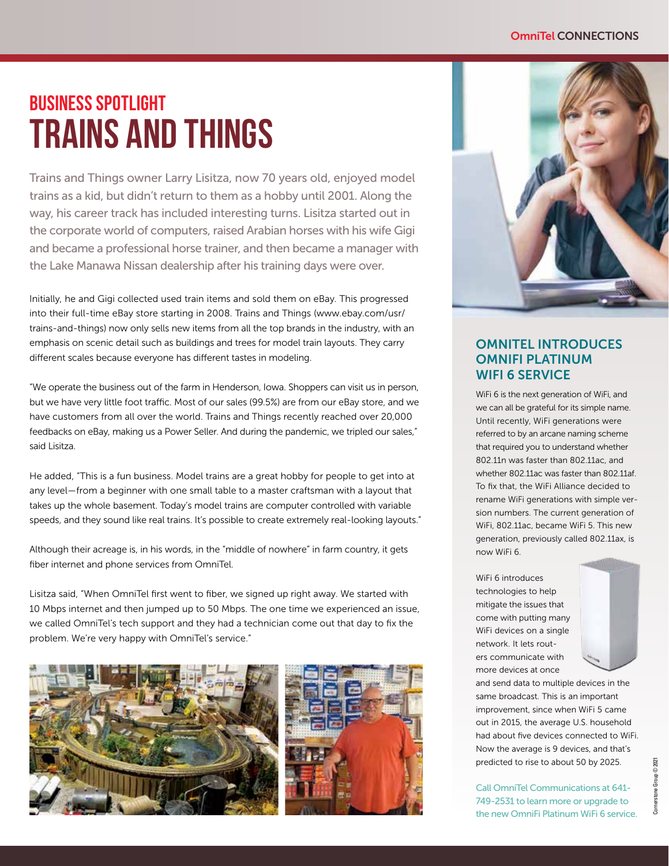## **BUSINESS SPOTLIGHT TRAINS AND THINGS**

Trains and Things owner Larry Lisitza, now 70 years old, enjoyed model trains as a kid, but didn't return to them as a hobby until 2001. Along the way, his career track has included interesting turns. Lisitza started out in the corporate world of computers, raised Arabian horses with his wife Gigi and became a professional horse trainer, and then became a manager with the Lake Manawa Nissan dealership after his training days were over.

Initially, he and Gigi collected used train items and sold them on eBay. This progressed into their full-time eBay store starting in 2008. Trains and Things (www.ebay.com/usr/ trains-and-things) now only sells new items from all the top brands in the industry, with an emphasis on scenic detail such as buildings and trees for model train layouts. They carry different scales because everyone has different tastes in modeling.

"We operate the business out of the farm in Henderson, Iowa. Shoppers can visit us in person, but we have very little foot traffic. Most of our sales (99.5%) are from our eBay store, and we have customers from all over the world. Trains and Things recently reached over 20,000 feedbacks on eBay, making us a Power Seller. And during the pandemic, we tripled our sales," said Lisitza.

He added, "This is a fun business. Model trains are a great hobby for people to get into at any level — from a beginner with one small table to a master craftsman with a layout that takes up the whole basement. Today's model trains are computer controlled with variable speeds, and they sound like real trains. It's possible to create extremely real-looking layouts."

Although their acreage is, in his words, in the "middle of nowhere" in farm country, it gets fiber internet and phone services from OmniTel.

Lisitza said, "When OmniTel first went to fiber, we signed up right away. We started with 10 Mbps internet and then jumped up to 50 Mbps. The one time we experienced an issue, we called OmniTel's tech support and they had a technician come out that day to fix the problem. We're very happy with OmniTel's service."





### OMNITEL INTRODUCES OMNIFI PLATINUM WIFI 6 SERVICE

WiFi 6 is the next generation of WiFi, and we can all be grateful for its simple name. Until recently, WiFi generations were referred to by an arcane naming scheme that required you to understand whether 802.11n was faster than 802.11ac, and whether 802.11ac was faster than 802.11af. To fix that, the WiFi Alliance decided to rename WiFi generations with simple version numbers. The current generation of WiFi, 802.11ac, became WiFi 5. This new generation, previously called 802.11ax, is now WiFi 6.

WiFi 6 introduces technologies to help mitigate the issues that come with putting many WiFi devices on a single network. It lets routers communicate with more devices at once



and send data to multiple devices in the same broadcast. This is an important improvement, since when WiFi 5 came out in 2015, the average U.S. household had about five devices connected to WiFi. Now the average is 9 devices, and that's predicted to rise to about 50 by 2025.

Call OmniTel Communications at 641- 749-2531 to learn more or upgrade to the new OmniFi Platinum WiFi 6 service.